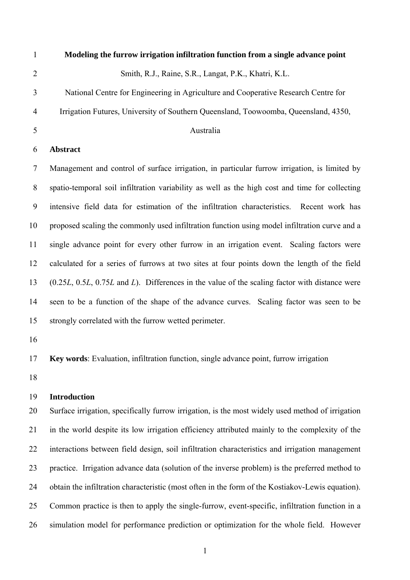- 1 **Modeling the furrow irrigation infiltration function from a single advance point**  2 3 4 5 6 7 8 9 10 11 12 13 14 15 Smith, R.J., Raine, S.R., Langat, P.K., Khatri, K.L. National Centre for Engineering in Agriculture and Cooperative Research Centre for Irrigation Futures, University of Southern Queensland, Toowoomba, Queensland, 4350, Australia **Abstract**  Management and control of surface irrigation, in particular furrow irrigation, is limited by spatio-temporal soil infiltration variability as well as the high cost and time for collecting intensive field data for estimation of the infiltration characteristics. Recent work has proposed scaling the commonly used infiltration function using model infiltration curve and a single advance point for every other furrow in an irrigation event. Scaling factors were calculated for a series of furrows at two sites at four points down the length of the field (0.25*L*, 0.5*L*, 0.75*L* and *L*). Differences in the value of the scaling factor with distance were seen to be a function of the shape of the advance curves. Scaling factor was seen to be strongly correlated with the furrow wetted perimeter.
- 16

17 **Key words**: Evaluation, infiltration function, single advance point, furrow irrigation

18

#### 19 **Introduction**

20 21 22 23 24 25 26 Surface irrigation, specifically furrow irrigation, is the most widely used method of irrigation in the world despite its low irrigation efficiency attributed mainly to the complexity of the interactions between field design, soil infiltration characteristics and irrigation management practice. Irrigation advance data (solution of the inverse problem) is the preferred method to obtain the infiltration characteristic (most often in the form of the Kostiakov-Lewis equation). Common practice is then to apply the single-furrow, event-specific, infiltration function in a simulation model for performance prediction or optimization for the whole field. However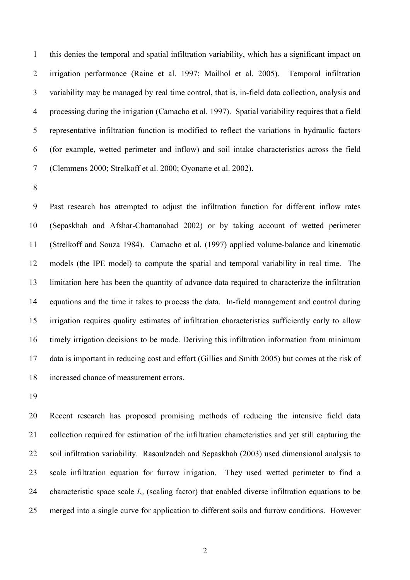1 2 3 4 5 6 7 this denies the temporal and spatial infiltration variability, which has a significant impact on irrigation performance (Raine et al. 1997; Mailhol et al. 2005). Temporal infiltration variability may be managed by real time control, that is, in-field data collection, analysis and processing during the irrigation (Camacho et al. 1997). Spatial variability requires that a field representative infiltration function is modified to reflect the variations in hydraulic factors (for example, wetted perimeter and inflow) and soil intake characteristics across the field (Clemmens 2000; Strelkoff et al. 2000; Oyonarte et al. 2002).

8

9 10 11 12 13 14 15 16 17 18 Past research has attempted to adjust the infiltration function for different inflow rates (Sepaskhah and Afshar-Chamanabad 2002) or by taking account of wetted perimeter (Strelkoff and Souza 1984). Camacho et al. (1997) applied volume-balance and kinematic models (the IPE model) to compute the spatial and temporal variability in real time. The limitation here has been the quantity of advance data required to characterize the infiltration equations and the time it takes to process the data. In-field management and control during irrigation requires quality estimates of infiltration characteristics sufficiently early to allow timely irrigation decisions to be made. Deriving this infiltration information from minimum data is important in reducing cost and effort (Gillies and Smith 2005) but comes at the risk of increased chance of measurement errors.

19

20 21 22 23 24 25 Recent research has proposed promising methods of reducing the intensive field data collection required for estimation of the infiltration characteristics and yet still capturing the soil infiltration variability. Rasoulzadeh and Sepaskhah (2003) used dimensional analysis to scale infiltration equation for furrow irrigation. They used wetted perimeter to find a characteristic space scale *L*c (scaling factor) that enabled diverse infiltration equations to be merged into a single curve for application to different soils and furrow conditions. However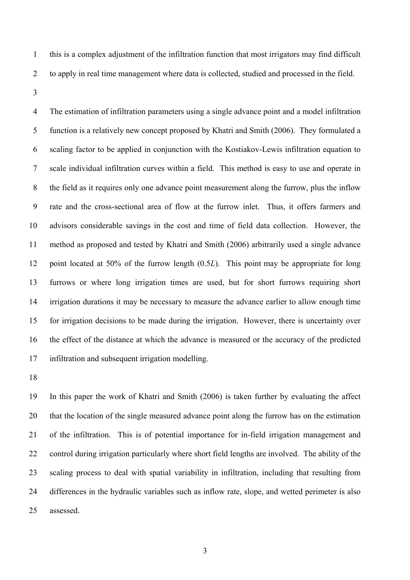- 1 2 this is a complex adjustment of the infiltration function that most irrigators may find difficult to apply in real time management where data is collected, studied and processed in the field.
- 3

4 5 6 7 8 9 10 11 12 13 14 15 16 17 The estimation of infiltration parameters using a single advance point and a model infiltration function is a relatively new concept proposed by Khatri and Smith (2006). They formulated a scaling factor to be applied in conjunction with the Kostiakov-Lewis infiltration equation to scale individual infiltration curves within a field. This method is easy to use and operate in the field as it requires only one advance point measurement along the furrow, plus the inflow rate and the cross-sectional area of flow at the furrow inlet. Thus, it offers farmers and advisors considerable savings in the cost and time of field data collection. However, the method as proposed and tested by Khatri and Smith (2006) arbitrarily used a single advance point located at 50% of the furrow length (0.5*L*). This point may be appropriate for long furrows or where long irrigation times are used, but for short furrows requiring short irrigation durations it may be necessary to measure the advance earlier to allow enough time for irrigation decisions to be made during the irrigation. However, there is uncertainty over the effect of the distance at which the advance is measured or the accuracy of the predicted infiltration and subsequent irrigation modelling.

18

19 20 21 22 23 24 25 In this paper the work of Khatri and Smith (2006) is taken further by evaluating the affect that the location of the single measured advance point along the furrow has on the estimation of the infiltration. This is of potential importance for in-field irrigation management and control during irrigation particularly where short field lengths are involved. The ability of the scaling process to deal with spatial variability in infiltration, including that resulting from differences in the hydraulic variables such as inflow rate, slope, and wetted perimeter is also assessed.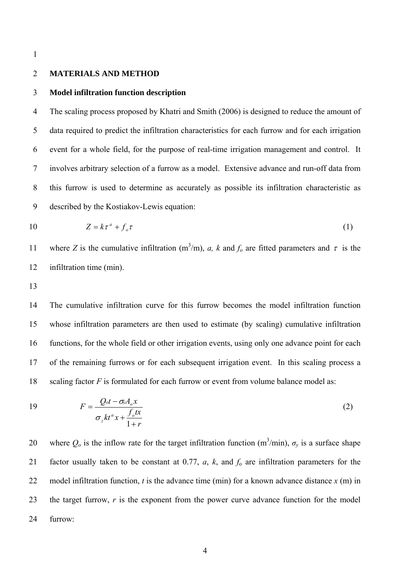#### 2 **MATERIALS AND METHOD**

#### 3 **Model infiltration function description**

4 5 6 7 8 9 The scaling process proposed by Khatri and Smith (2006) is designed to reduce the amount of data required to predict the infiltration characteristics for each furrow and for each irrigation event for a whole field, for the purpose of real-time irrigation management and control. It involves arbitrary selection of a furrow as a model. Extensive advance and run-off data from this furrow is used to determine as accurately as possible its infiltration characteristic as described by the Kostiakov-Lewis equation:

$$
10 \t Z = k\tau^a + f_o \tau \t (1)
$$

where *Z* is the cumulative infiltration (m<sup>3</sup>/m), *a*, *k* and  $f_o$  are fitted parameters and  $\tau$  is the infiltration time (min). 11 12

13

14 15 16 17 18 The cumulative infiltration curve for this furrow becomes the model infiltration function whose infiltration parameters are then used to estimate (by scaling) cumulative infiltration functions, for the whole field or other irrigation events, using only one advance point for each of the remaining furrows or for each subsequent irrigation event. In this scaling process a scaling factor *F* is formulated for each furrow or event from volume balance model as:

19 
$$
F = \frac{Q_{o}t - \sigma_{v}A_{o}x}{\sigma_{z}kt^{a}x + \frac{f_{o}tx}{1+r}}
$$
 (2)

20 21 22 23 24 where  $Q_0$  is the inflow rate for the target infiltration function (m<sup>3</sup>/min),  $\sigma_y$  is a surface shape factor usually taken to be constant at 0.77,  $a$ ,  $k$ , and  $f_0$  are infiltration parameters for the model infiltration function,  $t$  is the advance time (min) for a known advance distance  $x$  (m) in the target furrow, *r* is the exponent from the power curve advance function for the model furrow: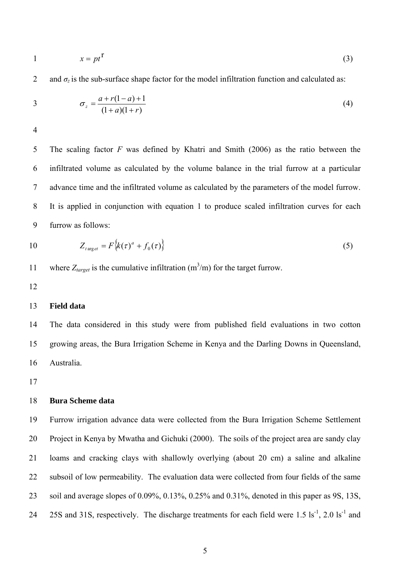$$
1 \qquad \qquad x = pt^{\Gamma} \tag{3}
$$

2 and  $\sigma_z$  is the sub-surface shape factor for the model infiltration function and calculated as:

3 
$$
\sigma_z = \frac{a + r(1 - a) + 1}{(1 + a)(1 + r)}
$$
(4)

4

5 6 7 8 9 The scaling factor *F* was defined by Khatri and Smith (2006) as the ratio between the infiltrated volume as calculated by the volume balance in the trial furrow at a particular advance time and the infiltrated volume as calculated by the parameters of the model furrow. It is applied in conjunction with equation 1 to produce scaled infiltration curves for each furrow as follows:

$$
10 \t Z_{target} = F\left\{k(\tau)^a + f_0(\tau)\right\} \t(5)
$$

11 where  $Z_{target}$  is the cumulative infiltration  $(m^3/m)$  for the target furrow.

12

## 13 **Field data**

14 15 16 The data considered in this study were from published field evaluations in two cotton growing areas, the Bura Irrigation Scheme in Kenya and the Darling Downs in Queensland, Australia.

17

#### 18 **Bura Scheme data**

19 20 21 22 23 24 Furrow irrigation advance data were collected from the Bura Irrigation Scheme Settlement Project in Kenya by Mwatha and Gichuki (2000). The soils of the project area are sandy clay loams and cracking clays with shallowly overlying (about 20 cm) a saline and alkaline subsoil of low permeability. The evaluation data were collected from four fields of the same soil and average slopes of 0.09%, 0.13%, 0.25% and 0.31%, denoted in this paper as 9S, 13S, 25S and 31S, respectively. The discharge treatments for each field were  $1.5 \text{ ls}^{-1}$ ,  $2.0 \text{ ls}^{-1}$  and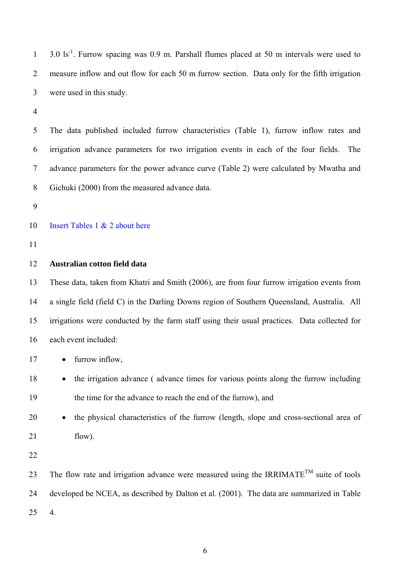$3.0 \text{ ls}^{-1}$ . Furrow spacing was 0.9 m. Parshall flumes placed at 50 m intervals were used to measure inflow and out flow for each 50 m furrow section. Data only for the fifth irrigation were used in this study. 1 2 3

4

5 6 7 8 The data published included furrow characteristics (Table 1), furrow inflow rates and irrigation advance parameters for two irrigation events in each of the four fields. The advance parameters for the power advance curve (Table 2) were calculated by Mwatha and Gichuki (2000) from the measured advance data.

9

#### 10 Insert Tables 1 & 2 about here

11

## 12 **Australian cotton field data**

13 14 15 16 These data, taken from Khatri and Smith (2006), are from four furrow irrigation events from a single field (field C) in the Darling Downs region of Southern Queensland, Australia. All irrigations were conducted by the farm staff using their usual practices. Data collected for each event included:

- 17 • furrow inflow,
- 18 19 • the irrigation advance (advance times for various points along the furrow including the time for the advance to reach the end of the furrow), and
- 20 21 • the physical characteristics of the furrow (length, slope and cross-sectional area of flow).
- 22

23 24 25 The flow rate and irrigation advance were measured using the IRRIMATE<sup>TM</sup> suite of tools developed be NCEA, as described by Dalton et al. (2001). The data are summarized in Table 4.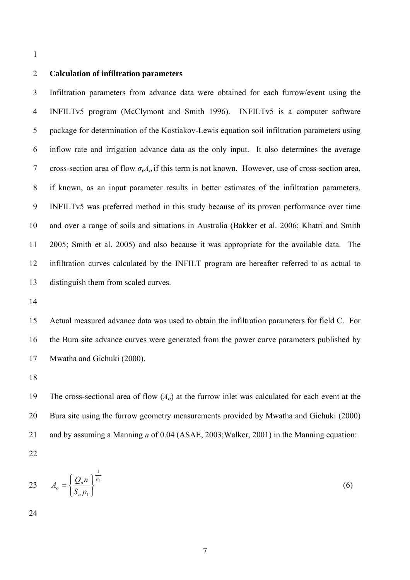## 2 **Calculation of infiltration parameters**

3 4 5 6 7 8 9 10 11 12 13 Infiltration parameters from advance data were obtained for each furrow/event using the INFILTv5 program (McClymont and Smith 1996). INFILTv5 is a computer software package for determination of the Kostiakov-Lewis equation soil infiltration parameters using inflow rate and irrigation advance data as the only input. It also determines the average cross-section area of flow  $\sigma_{\nu}A_o$  if this term is not known. However, use of cross-section area, if known, as an input parameter results in better estimates of the infiltration parameters. INFILTv5 was preferred method in this study because of its proven performance over time and over a range of soils and situations in Australia (Bakker et al. 2006; Khatri and Smith 2005; Smith et al. 2005) and also because it was appropriate for the available data. The infiltration curves calculated by the INFILT program are hereafter referred to as actual to distinguish them from scaled curves.

14

15 16 17 Actual measured advance data was used to obtain the infiltration parameters for field C. For the Bura site advance curves were generated from the power curve parameters published by Mwatha and Gichuki (2000).

18

19 20 21 The cross-sectional area of flow  $(A<sub>o</sub>)$  at the furrow inlet was calculated for each event at the Bura site using the furrow geometry measurements provided by Mwatha and Gichuki (2000) and by assuming a Manning *n* of 0.04 (ASAE, 2003;Walker, 2001) in the Manning equation:

22

$$
A_o = \left\{ \frac{Q_o n}{S_o p_1} \right\}^{\frac{1}{p_2}} \tag{6}
$$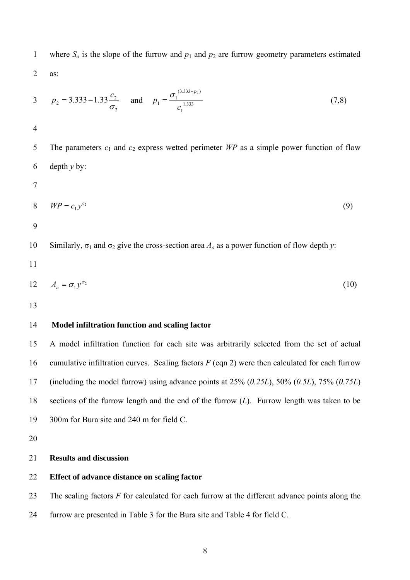where  $S_0$  is the slope of the furrow and  $p_1$  and  $p_2$  are furrow geometry parameters estimated as: 1 2

3 
$$
p_2 = 3.333 - 1.33 \frac{c_2}{\sigma_2}
$$
 and  $p_1 = \frac{\sigma_1^{(3.333-p_2)}}{c_1^{1.333}}$  (7,8)  
\n4  
\n5 The parameters  $c_1$  and  $c_2$  express wetted perimeter *WP* as a simple power function of flow  
\n6 depth *y* by:  
\n7  
\n8 *WP* =  $c_1 y^{c_2}$  (9)  
\n9  
\n10 Similarly,  $\sigma_1$  and  $\sigma_2$  give the cross-section area  $A_o$  as a power function of flow depth *y*:  
\n11  
\n12  $A_o = \sigma_1 y^{\sigma_2}$  (10)

#### 14 **Model infiltration function and scaling factor**

15 16 17 18 19 A model infiltration function for each site was arbitrarily selected from the set of actual cumulative infiltration curves. Scaling factors  $F$  (eqn 2) were then calculated for each furrow (including the model furrow) using advance points at 25% (*0.25L*), 50% (*0.5L*), 75% (*0.75L*) sections of the furrow length and the end of the furrow (*L*). Furrow length was taken to be 300m for Bura site and 240 m for field C.

20

#### 21 **Results and discussion**

#### 22 **Effect of advance distance on scaling factor**

23 The scaling factors *F* for calculated for each furrow at the different advance points along the

24 furrow are presented in Table 3 for the Bura site and Table 4 for field C.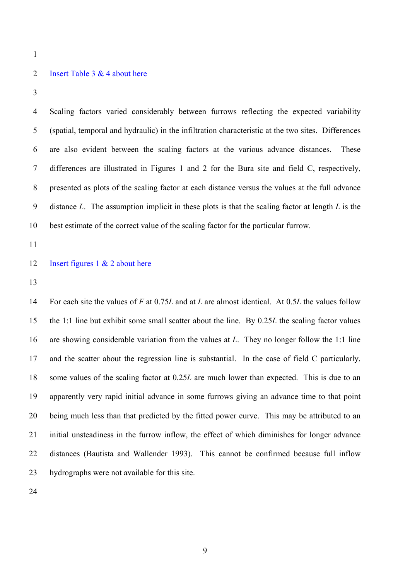#### 2 Insert Table 3 & 4 about here

3

4 5 6 7 8 9 10 Scaling factors varied considerably between furrows reflecting the expected variability (spatial, temporal and hydraulic) in the infiltration characteristic at the two sites. Differences are also evident between the scaling factors at the various advance distances. These differences are illustrated in Figures 1 and 2 for the Bura site and field C, respectively, presented as plots of the scaling factor at each distance versus the values at the full advance distance *L*. The assumption implicit in these plots is that the scaling factor at length *L* is the best estimate of the correct value of the scaling factor for the particular furrow.

11

#### 12 Insert figures 1 & 2 about here

13

14 15 16 17 18 19 20 21 22 23 For each site the values of *F* at 0.75*L* and at *L* are almost identical. At 0.5*L* the values follow the 1:1 line but exhibit some small scatter about the line. By 0.25*L* the scaling factor values are showing considerable variation from the values at *L*. They no longer follow the 1:1 line and the scatter about the regression line is substantial. In the case of field C particularly, some values of the scaling factor at 0.25*L* are much lower than expected. This is due to an apparently very rapid initial advance in some furrows giving an advance time to that point being much less than that predicted by the fitted power curve. This may be attributed to an initial unsteadiness in the furrow inflow, the effect of which diminishes for longer advance distances (Bautista and Wallender 1993). This cannot be confirmed because full inflow hydrographs were not available for this site.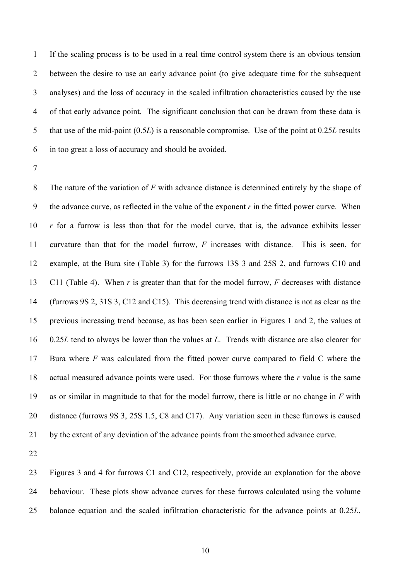1 2 3 4 5 6 If the scaling process is to be used in a real time control system there is an obvious tension between the desire to use an early advance point (to give adequate time for the subsequent analyses) and the loss of accuracy in the scaled infiltration characteristics caused by the use of that early advance point. The significant conclusion that can be drawn from these data is that use of the mid-point (0.5*L*) is a reasonable compromise. Use of the point at 0.25*L* results in too great a loss of accuracy and should be avoided.

7

8 9 10 11 12 13 14 15 16 17 18 19 20 21 The nature of the variation of *F* with advance distance is determined entirely by the shape of the advance curve, as reflected in the value of the exponent  $r$  in the fitted power curve. When *r* for a furrow is less than that for the model curve, that is, the advance exhibits lesser curvature than that for the model furrow, *F* increases with distance. This is seen, for example, at the Bura site (Table 3) for the furrows 13S 3 and 25S 2, and furrows C10 and C11 (Table 4). When *r* is greater than that for the model furrow, *F* decreases with distance (furrows 9S 2, 31S 3, C12 and C15). This decreasing trend with distance is not as clear as the previous increasing trend because, as has been seen earlier in Figures 1 and 2, the values at 0.25*L* tend to always be lower than the values at *L*. Trends with distance are also clearer for Bura where *F* was calculated from the fitted power curve compared to field C where the actual measured advance points were used. For those furrows where the *r* value is the same as or similar in magnitude to that for the model furrow, there is little or no change in *F* with distance (furrows 9S 3, 25S 1.5, C8 and C17). Any variation seen in these furrows is caused by the extent of any deviation of the advance points from the smoothed advance curve.

22

23 24 25 Figures 3 and 4 for furrows C1 and C12, respectively, provide an explanation for the above behaviour. These plots show advance curves for these furrows calculated using the volume balance equation and the scaled infiltration characteristic for the advance points at 0.25*L*,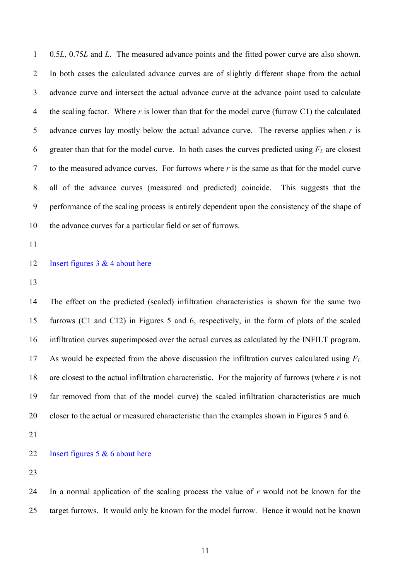0.5*L*, 0.75*L* and *L*. The measured advance points and the fitted power curve are also shown. In both cases the calculated advance curves are of slightly different shape from the actual advance curve and intersect the actual advance curve at the advance point used to calculate the scaling factor. Where *r* is lower than that for the model curve (furrow C1) the calculated advance curves lay mostly below the actual advance curve. The reverse applies when *r* is greater than that for the model curve. In both cases the curves predicted using  $F_L$  are closest 1 2 3 4 5 6 7 8 9 10 to the measured advance curves. For furrows where *r* is the same as that for the model curve all of the advance curves (measured and predicted) coincide. This suggests that the performance of the scaling process is entirely dependent upon the consistency of the shape of the advance curves for a particular field or set of furrows.

11

#### 12 Insert figures  $3 & 4$  about here

13

14 15 16 17 18 19 20 The effect on the predicted (scaled) infiltration characteristics is shown for the same two furrows (C1 and C12) in Figures 5 and 6, respectively, in the form of plots of the scaled infiltration curves superimposed over the actual curves as calculated by the INFILT program. As would be expected from the above discussion the infiltration curves calculated using *FL* are closest to the actual infiltration characteristic. For the majority of furrows (where *r* is not far removed from that of the model curve) the scaled infiltration characteristics are much closer to the actual or measured characteristic than the examples shown in Figures 5 and 6.

21

#### 22 Insert figures 5 & 6 about here

23

24 25 In a normal application of the scaling process the value of *r* would not be known for the target furrows. It would only be known for the model furrow. Hence it would not be known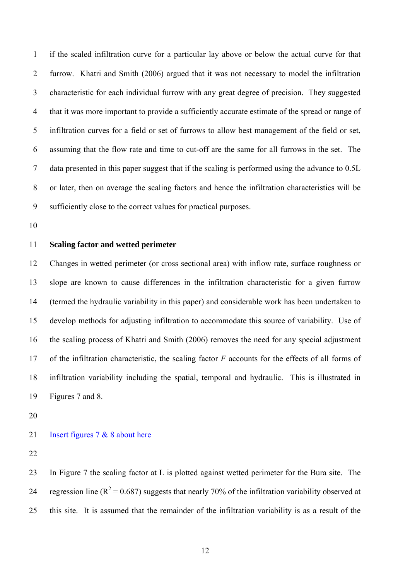1 2 3 4 5 6 7 8 9 if the scaled infiltration curve for a particular lay above or below the actual curve for that furrow. Khatri and Smith (2006) argued that it was not necessary to model the infiltration characteristic for each individual furrow with any great degree of precision. They suggested that it was more important to provide a sufficiently accurate estimate of the spread or range of infiltration curves for a field or set of furrows to allow best management of the field or set, assuming that the flow rate and time to cut-off are the same for all furrows in the set. The data presented in this paper suggest that if the scaling is performed using the advance to 0.5L or later, then on average the scaling factors and hence the infiltration characteristics will be sufficiently close to the correct values for practical purposes.

10

### 11 **Scaling factor and wetted perimeter**

12 13 14 15 16 17 18 19 Changes in wetted perimeter (or cross sectional area) with inflow rate, surface roughness or slope are known to cause differences in the infiltration characteristic for a given furrow (termed the hydraulic variability in this paper) and considerable work has been undertaken to develop methods for adjusting infiltration to accommodate this source of variability. Use of the scaling process of Khatri and Smith (2006) removes the need for any special adjustment of the infiltration characteristic, the scaling factor *F* accounts for the effects of all forms of infiltration variability including the spatial, temporal and hydraulic. This is illustrated in Figures 7 and 8.

20

## 21 Insert figures 7 & 8 about here

22

23 24 25 In Figure 7 the scaling factor at L is plotted against wetted perimeter for the Bura site. The regression line ( $R^2$  = 0.687) suggests that nearly 70% of the infiltration variability observed at this site. It is assumed that the remainder of the infiltration variability is as a result of the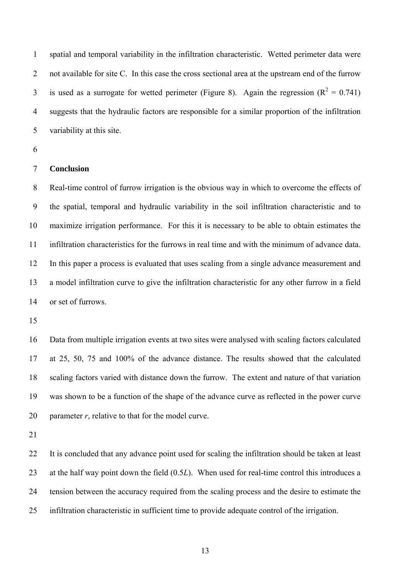spatial and temporal variability in the infiltration characteristic. Wetted perimeter data were not available for site C. In this case the cross sectional area at the upstream end of the furrow is used as a surrogate for wetted perimeter (Figure 8). Again the regression ( $R^2 = 0.741$ ) 1 2 3 4 5 suggests that the hydraulic factors are responsible for a similar proportion of the infiltration variability at this site.

6

#### 7 **Conclusion**

8 9 10 11 12 13 14 Real-time control of furrow irrigation is the obvious way in which to overcome the effects of the spatial, temporal and hydraulic variability in the soil infiltration characteristic and to maximize irrigation performance. For this it is necessary to be able to obtain estimates the infiltration characteristics for the furrows in real time and with the minimum of advance data. In this paper a process is evaluated that uses scaling from a single advance measurement and a model infiltration curve to give the infiltration characteristic for any other furrow in a field or set of furrows.

15

16 17 18 19 20 Data from multiple irrigation events at two sites were analysed with scaling factors calculated at 25, 50, 75 and 100% of the advance distance. The results showed that the calculated scaling factors varied with distance down the furrow. The extent and nature of that variation was shown to be a function of the shape of the advance curve as reflected in the power curve parameter *r*, relative to that for the model curve.

21

22 23 24 25 It is concluded that any advance point used for scaling the infiltration should be taken at least at the half way point down the field (0.5*L*). When used for real-time control this introduces a tension between the accuracy required from the scaling process and the desire to estimate the infiltration characteristic in sufficient time to provide adequate control of the irrigation.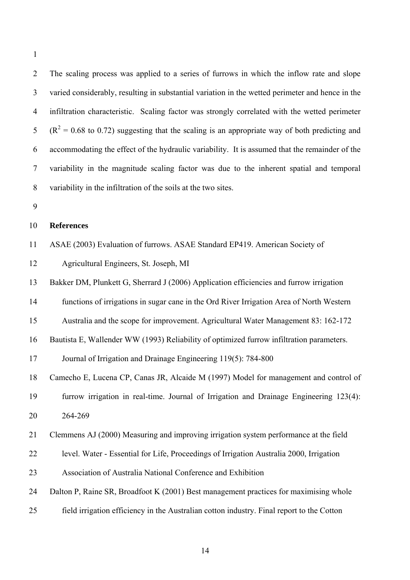2 3 4 5 6 7 8 The scaling process was applied to a series of furrows in which the inflow rate and slope varied considerably, resulting in substantial variation in the wetted perimeter and hence in the infiltration characteristic. Scaling factor was strongly correlated with the wetted perimeter  $(R<sup>2</sup> = 0.68$  to 0.72) suggesting that the scaling is an appropriate way of both predicting and accommodating the effect of the hydraulic variability. It is assumed that the remainder of the variability in the magnitude scaling factor was due to the inherent spatial and temporal variability in the infiltration of the soils at the two sites.

9

#### 10 **References**

11 ASAE (2003) Evaluation of furrows. ASAE Standard EP419. American Society of

12 Agricultural Engineers, St. Joseph, MI

13 Bakker DM, Plunkett G, Sherrard J (2006) Application efficiencies and furrow irrigation

14 functions of irrigations in sugar cane in the Ord River Irrigation Area of North Western

15 Australia and the scope for improvement. Agricultural Water Management 83: 162-172

16 Bautista E, Wallender WW (1993) Reliability of optimized furrow infiltration parameters.

17 Journal of Irrigation and Drainage Engineering 119(5): 784-800

18 Camecho E, Lucena CP, Canas JR, Alcaide M (1997) Model for management and control of

19 20 furrow irrigation in real-time. Journal of Irrigation and Drainage Engineering 123(4): 264-269

21 Clemmens AJ (2000) Measuring and improving irrigation system performance at the field

22 level. Water - Essential for Life, Proceedings of Irrigation Australia 2000, Irrigation

23 Association of Australia National Conference and Exhibition

24 Dalton P, Raine SR, Broadfoot K (2001) Best management practices for maximising whole

25 field irrigation efficiency in the Australian cotton industry. Final report to the Cotton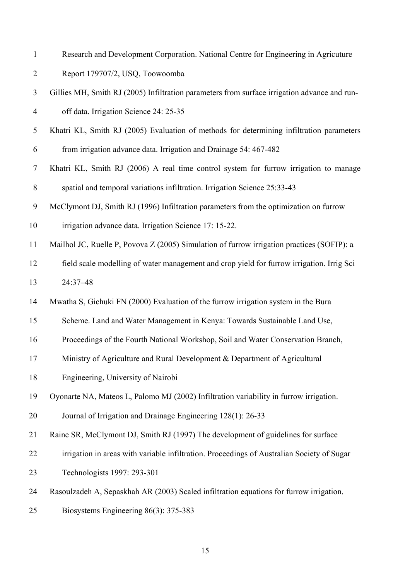| $\mathbf{1}$   | Research and Development Corporation. National Centre for Engineering in Agricuture          |
|----------------|----------------------------------------------------------------------------------------------|
| $\overline{2}$ | Report 179707/2, USQ, Toowoomba                                                              |
| 3              | Gillies MH, Smith RJ (2005) Infiltration parameters from surface irrigation advance and run- |
| $\overline{4}$ | off data. Irrigation Science 24: 25-35                                                       |
| 5              | Khatri KL, Smith RJ (2005) Evaluation of methods for determining infiltration parameters     |
| 6              | from irrigation advance data. Irrigation and Drainage 54: 467-482                            |
| $\tau$         | Khatri KL, Smith RJ (2006) A real time control system for furrow irrigation to manage        |
| 8              | spatial and temporal variations infiltration. Irrigation Science 25:33-43                    |
| 9              | McClymont DJ, Smith RJ (1996) Infiltration parameters from the optimization on furrow        |
| 10             | irrigation advance data. Irrigation Science 17: 15-22.                                       |
| 11             | Mailhol JC, Ruelle P, Povova Z (2005) Simulation of furrow irrigation practices (SOFIP): a   |
| 12             | field scale modelling of water management and crop yield for furrow irrigation. Irrig Sci    |
| 13             | 24:37-48                                                                                     |
| 14             | Mwatha S, Gichuki FN (2000) Evaluation of the furrow irrigation system in the Bura           |
| 15             | Scheme. Land and Water Management in Kenya: Towards Sustainable Land Use,                    |
| 16             | Proceedings of the Fourth National Workshop, Soil and Water Conservation Branch,             |
| 17             | Ministry of Agriculture and Rural Development & Department of Agricultural                   |
| 18             | Engineering, University of Nairobi                                                           |
| 19             | Oyonarte NA, Mateos L, Palomo MJ (2002) Infiltration variability in furrow irrigation.       |
| 20             | Journal of Irrigation and Drainage Engineering 128(1): 26-33                                 |
| 21             | Raine SR, McClymont DJ, Smith RJ (1997) The development of guidelines for surface            |
| 22             | irrigation in areas with variable infiltration. Proceedings of Australian Society of Sugar   |
| 23             | Technologists 1997: 293-301                                                                  |
| 24             | Rasoulzadeh A, Sepaskhah AR (2003) Scaled infiltration equations for furrow irrigation.      |
| 25             | Biosystems Engineering 86(3): 375-383                                                        |
|                |                                                                                              |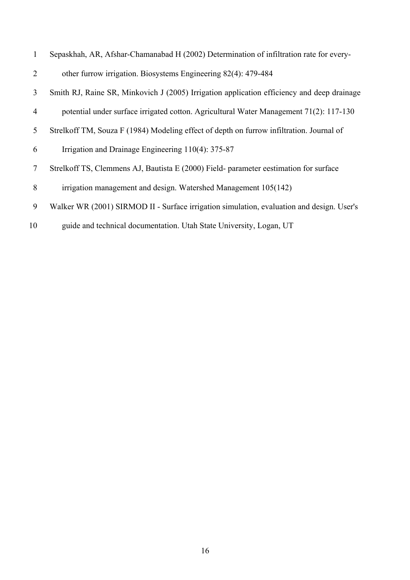| $\mathbf{1}$    | Sepaskhah, AR, Afshar-Chamanabad H (2002) Determination of infiltration rate for every-    |
|-----------------|--------------------------------------------------------------------------------------------|
| 2               | other furrow irrigation. Biosystems Engineering 82(4): 479-484                             |
| 3               | Smith RJ, Raine SR, Minkovich J (2005) Irrigation application efficiency and deep drainage |
| $\overline{4}$  | potential under surface irrigated cotton. Agricultural Water Management $71(2)$ : 117-130  |
| 5               | Strelkoff TM, Souza F (1984) Modeling effect of depth on furrow infiltration. Journal of   |
| 6               | Irrigation and Drainage Engineering $110(4)$ : 375-87                                      |
| $7\phantom{.0}$ | Strelkoff TS, Clemmens AJ, Bautista E (2000) Field- parameter eestimation for surface      |
| 8               | irrigation management and design. Watershed Management 105(142)                            |
| 9               | Walker WR (2001) SIRMOD II - Surface irrigation simulation, evaluation and design. User's  |
|                 |                                                                                            |

10 guide and technical documentation. Utah State University, Logan, UT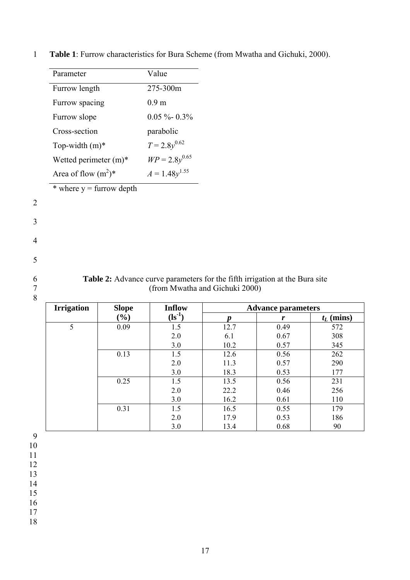| Furrow length<br>Furrow spacing<br>Furrow slope<br>Cross-section<br>Top-width $(m)^*$<br>Wetted perimeter $(m)^*$<br>Area of flow $(m^2)^*$<br>* where $y =$ furrow depth | 275-300m<br>0.9 <sub>m</sub><br>$0.05 \%$ - 0.3%<br>parabolic<br>$T = 2.8y^{0.62}$<br>$WP = 2.8y^{0.65}$<br>$A = 1.48y^{1.55}$ |                                |                           |                     |
|---------------------------------------------------------------------------------------------------------------------------------------------------------------------------|--------------------------------------------------------------------------------------------------------------------------------|--------------------------------|---------------------------|---------------------|
|                                                                                                                                                                           |                                                                                                                                |                                |                           |                     |
|                                                                                                                                                                           |                                                                                                                                |                                |                           |                     |
|                                                                                                                                                                           |                                                                                                                                |                                |                           |                     |
|                                                                                                                                                                           |                                                                                                                                |                                |                           |                     |
|                                                                                                                                                                           |                                                                                                                                |                                |                           |                     |
|                                                                                                                                                                           |                                                                                                                                |                                |                           |                     |
|                                                                                                                                                                           |                                                                                                                                |                                |                           |                     |
|                                                                                                                                                                           |                                                                                                                                |                                |                           |                     |
|                                                                                                                                                                           |                                                                                                                                |                                |                           |                     |
|                                                                                                                                                                           |                                                                                                                                |                                |                           |                     |
|                                                                                                                                                                           |                                                                                                                                |                                |                           |                     |
|                                                                                                                                                                           |                                                                                                                                |                                |                           |                     |
|                                                                                                                                                                           |                                                                                                                                |                                |                           |                     |
|                                                                                                                                                                           |                                                                                                                                |                                |                           |                     |
|                                                                                                                                                                           |                                                                                                                                |                                |                           |                     |
|                                                                                                                                                                           |                                                                                                                                |                                |                           |                     |
|                                                                                                                                                                           |                                                                                                                                |                                |                           |                     |
|                                                                                                                                                                           |                                                                                                                                |                                |                           |                     |
|                                                                                                                                                                           | Table 2: Advance curve parameters for the fifth irrigation at the Bura site                                                    |                                |                           |                     |
|                                                                                                                                                                           |                                                                                                                                |                                |                           |                     |
|                                                                                                                                                                           |                                                                                                                                | (from Mwatha and Gichuki 2000) |                           |                     |
| <b>Irrigation</b><br><b>Slope</b>                                                                                                                                         | <b>Inflow</b>                                                                                                                  |                                | <b>Advance parameters</b> |                     |
| (%)                                                                                                                                                                       | $(ls^{-1})$                                                                                                                    |                                | r                         |                     |
| $\overline{5}$<br>0.09                                                                                                                                                    | 1.5                                                                                                                            | $\boldsymbol{p}$<br>12.7       | 0.49                      | $t_L$ (mins)<br>572 |
|                                                                                                                                                                           | 2.0                                                                                                                            | 6.1                            | 0.67                      | 308                 |
|                                                                                                                                                                           | 3.0                                                                                                                            | 10.2                           | 0.57                      | 345                 |
| 0.13                                                                                                                                                                      | 1.5                                                                                                                            | 12.6                           | 0.56                      | 262                 |
|                                                                                                                                                                           | 2.0                                                                                                                            | 11.3                           | 0.57                      | 290                 |
|                                                                                                                                                                           | 3.0                                                                                                                            | 18.3                           | 0.53                      | 177                 |
| 0.25                                                                                                                                                                      | 1.5                                                                                                                            | 13.5                           | 0.56                      | 231                 |
|                                                                                                                                                                           | 2.0                                                                                                                            | 22.2                           | 0.46                      | 256                 |
|                                                                                                                                                                           | 3.0                                                                                                                            | 16.2                           | 0.61                      | 110                 |
| 0.31                                                                                                                                                                      | 1.5<br>2.0                                                                                                                     | 16.5<br>17.9                   | 0.55<br>0.53              | 179<br>186          |

1 **Table 1**: Furrow characteristics for Bura Scheme (from Mwatha and Gichuki, 2000).

2

3

4

5

6 7 8

11

12

13

14

15

16

17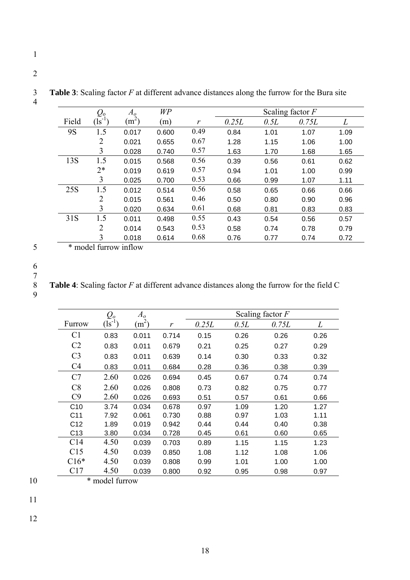|       | $\varrho_{\raisebox{-0.75pt}{\tiny o}}$ | $A_o$             | WP    |      |       |      | Scaling factor $F$ |      |
|-------|-----------------------------------------|-------------------|-------|------|-------|------|--------------------|------|
| Field | $\left( \mathrm{ls}^{-1} \right)$       | (m <sup>2</sup> ) | (m)   | r    | 0.25L | 0.5L | 0.75L              | L    |
| 9S    | 1.5                                     | 0.017             | 0.600 | 0.49 | 0.84  | 1.01 | 1.07               | 1.09 |
|       | $\overline{2}$                          | 0.021             | 0.655 | 0.67 | 1.28  | 1.15 | 1.06               | 1.00 |
|       | 3                                       | 0.028             | 0.740 | 0.57 | 1.63  | 1.70 | 1.68               | 1.65 |
| 13S   | 1.5                                     | 0.015             | 0.568 | 0.56 | 0.39  | 0.56 | 0.61               | 0.62 |
|       | $2*$                                    | 0.019             | 0.619 | 0.57 | 0.94  | 1.01 | 1.00               | 0.99 |
|       | 3                                       | 0.025             | 0.700 | 0.53 | 0.66  | 0.99 | 1.07               | 1.11 |
| 25S   | 1.5                                     | 0.012             | 0.514 | 0.56 | 0.58  | 0.65 | 0.66               | 0.66 |
|       | 2                                       | 0.015             | 0.561 | 0.46 | 0.50  | 0.80 | 0.90               | 0.96 |
|       | 3                                       | 0.020             | 0.634 | 0.61 | 0.68  | 0.81 | 0.83               | 0.83 |
| 31S   | 1.5                                     | 0.011             | 0.498 | 0.55 | 0.43  | 0.54 | 0.56               | 0.57 |
|       | $\overline{2}$                          | 0.014             | 0.543 | 0.53 | 0.58  | 0.74 | 0.78               | 0.79 |
|       | 3                                       | 0.018             | 0.614 | 0.68 | 0.76  | 0.77 | 0.74               | 0.72 |
| $-1$  | 110                                     |                   |       |      |       |      |                    |      |

3 **Table 3**: Scaling factor *F* at different advance distances along the furrow for the Bura site

\* model furrow inflow

# 5 6

1

2

4

7 8

9

**Table 4**: Scaling factor *F* at different advance distances along the furrow for the field C

|                 | $\mathcal{Q}_\varrho$ | A <sub>o</sub> |       |       |      | Scaling factor $F$ |      |  |
|-----------------|-----------------------|----------------|-------|-------|------|--------------------|------|--|
| Furrow          | $\sqrt{1}$            | $(m^2)$        | r     | 0.25L | 0.5L | 0.75L              | L    |  |
| C <sub>1</sub>  | 0.83                  | 0.011          | 0.714 | 0.15  | 0.26 | 0.26               | 0.26 |  |
| C <sub>2</sub>  | 0.83                  | 0.011          | 0.679 | 0.21  | 0.25 | 0.27               | 0.29 |  |
| C <sub>3</sub>  | 0.83                  | 0.011          | 0.639 | 0.14  | 0.30 | 0.33               | 0.32 |  |
| C <sub>4</sub>  | 0.83                  | 0.011          | 0.684 | 0.28  | 0.36 | 0.38               | 0.39 |  |
| C7              | 2.60                  | 0.026          | 0.694 | 0.45  | 0.67 | 0.74               | 0.74 |  |
| C8              | 2.60                  | 0.026          | 0.808 | 0.73  | 0.82 | 0.75               | 0.77 |  |
| C9              | 2.60                  | 0.026          | 0.693 | 0.51  | 0.57 | 0.61               | 0.66 |  |
| C10             | 3.74                  | 0.034          | 0.678 | 0.97  | 1.09 | 1.20               | 1.27 |  |
| C <sub>11</sub> | 7.92                  | 0.061          | 0.730 | 0.88  | 0.97 | 1.03               | 1.11 |  |
| C <sub>12</sub> | 1.89                  | 0.019          | 0.942 | 0.44  | 0.44 | 0.40               | 0.38 |  |
| C <sub>13</sub> | 3.80                  | 0.034          | 0.728 | 0.45  | 0.61 | 0.60               | 0.65 |  |
| C <sub>14</sub> | 4.50                  | 0.039          | 0.703 | 0.89  | 1.15 | 1.15               | 1.23 |  |
| C15             | 4.50                  | 0.039          | 0.850 | 1.08  | 1.12 | 1.08               | 1.06 |  |
| $C16*$          | 4.50                  | 0.039          | 0.808 | 0.99  | 1.01 | 1.00               | 1.00 |  |
| C17             | 4.50                  | 0.039          | 0.800 | 0.92  | 0.95 | 0.98               | 0.97 |  |
| * model furrow  |                       |                |       |       |      |                    |      |  |

10

11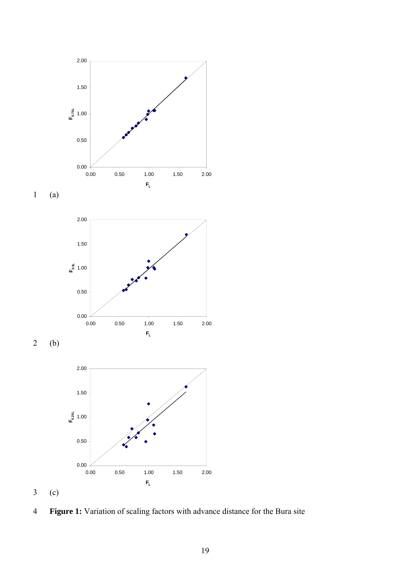











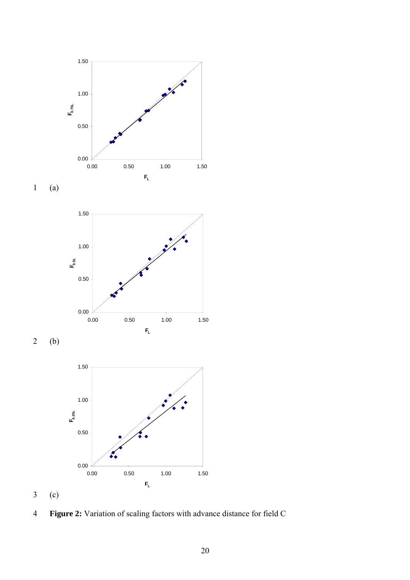









(c) 3

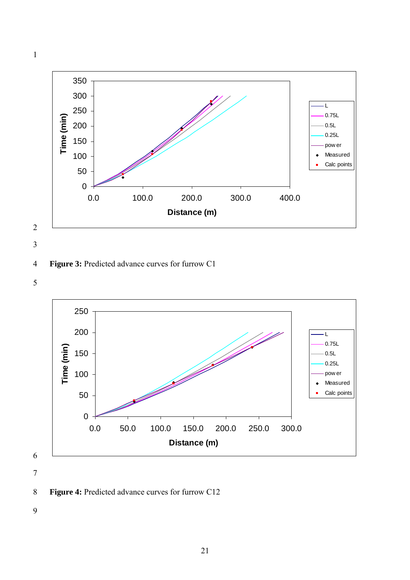



4 **Figure 3:** Predicted advance curves for furrow C1

5



7

8 **Figure 4:** Predicted advance curves for furrow C12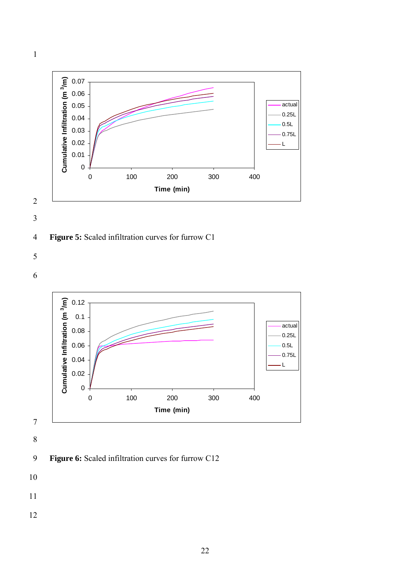



# 4 **Figure 5:** Scaled infiltration curves for furrow C1

5

6



9 **Figure 6:** Scaled infiltration curves for furrow C12

- 10
- 11
- 12